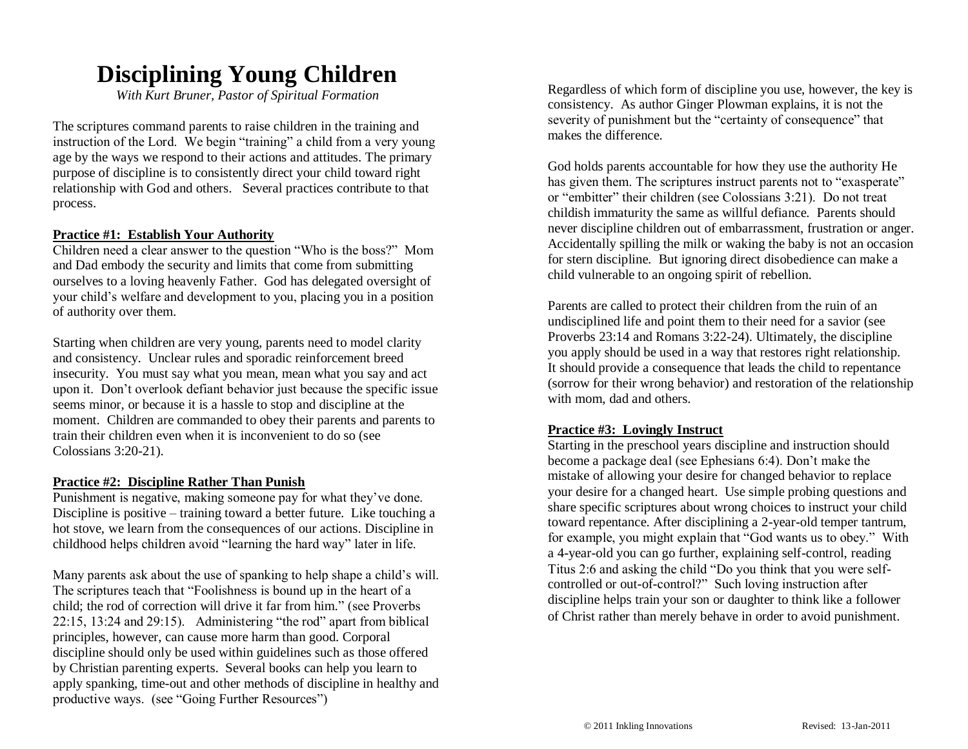## **Disciplining Young Children**

*With Kurt Bruner, Pastor of Spiritual Formation*

The scriptures command parents to raise children in the training and instruction of the Lord. We begin "training" a child from a very young age by the ways we respond to their actions and attitudes. The primary purpose of discipline is to consistently direct your child toward right relationship with God and others. Several practices contribute to that process.

#### **Practice #1: Establish Your Authority**

Children need a clear answer to the question "Who is the boss?" Mom and Dad embody the security and limits that come from submitting ourselves to a loving heavenly Father. God has delegated oversight of your child's welfare and development to you, placing you in a position of authority over them.

Starting when children are very young, parents need to model clarity and consistency. Unclear rules and sporadic reinforcement breed insecurity. You must say what you mean, mean what you say and act upon it. Don't overlook defiant behavior just because the specific issue seems minor, or because it is a hassle to stop and discipline at the moment. Children are commanded to obey their parents and parents to train their children even when it is inconvenient to do so (see Colossians 3:20-21).

#### **Practice #2: Discipline Rather Than Punish**

Punishment is negative, making someone pay for what they've done. Discipline is positive – training toward a better future. Like touching a hot stove, we learn from the consequences of our actions. Discipline in childhood helps children avoid "learning the hard way" later in life.

Many parents ask about the use of spanking to help shape a child's will. The scriptures teach that "Foolishness is bound up in the heart of a child; the rod of correction will drive it far from him." (see Proverbs 22:15, 13:24 and 29:15). Administering "the rod" apart from biblical principles, however, can cause more harm than good. Corporal discipline should only be used within guidelines such as those offered by Christian parenting experts. Several books can help you learn to apply spanking, time-out and other methods of discipline in healthy and productive ways. (see "Going Further Resources")

Regardless of which form of discipline you use, however, the key is consistency. As author Ginger Plowman explains, it is not the severity of punishment but the "certainty of consequence" that makes the difference.

God holds parents accountable for how they use the authority He has given them. The scriptures instruct parents not to "exasperate" or "embitter" their children (see Colossians 3:21). Do not treat childish immaturity the same as willful defiance. Parents should never discipline children out of embarrassment, frustration or anger. Accidentally spilling the milk or waking the baby is not an occasion for stern discipline. But ignoring direct disobedience can make a child vulnerable to an ongoing spirit of rebellion.

Parents are called to protect their children from the ruin of an undisciplined life and point them to their need for a savior (see Proverbs 23:14 and Romans 3:22-24). Ultimately, the discipline you apply should be used in a way that restores right relationship. It should provide a consequence that leads the child to repentance (sorrow for their wrong behavior) and restoration of the relationship with mom, dad and others.

#### **Practice #3: Lovingly Instruct**

Starting in the preschool years discipline and instruction should become a package deal (see Ephesians 6:4). Don't make the mistake of allowing your desire for changed behavior to replace your desire for a changed heart. Use simple probing questions and share specific scriptures about wrong choices to instruct your child toward repentance. After disciplining a 2-year-old temper tantrum, for example, you might explain that "God wants us to obey." With a 4-year-old you can go further, explaining self-control, reading Titus 2:6 and asking the child "Do you think that you were selfcontrolled or out-of-control?" Such loving instruction after discipline helps train your son or daughter to think like a follower of Christ rather than merely behave in order to avoid punishment.